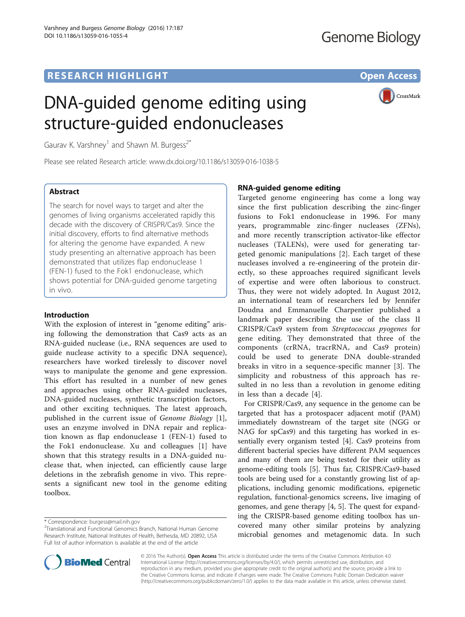# **RESEARCH HIGHLIGHT** THE OPEN ACCESS OPEN ACCESS

# DNA-guided genome editing using structure-guided endonucleases



Gaurav K. Varshney<sup>1</sup> and Shawn M. Burgess<sup> $2*$ </sup>

Please see related Research article: [www.dx.doi.org/10.1186/s13059-016-1038-5](http://www.dx.doi.org/10.1186/s13059-016-1038-5)

# Abstract

The search for novel ways to target and alter the genomes of living organisms accelerated rapidly this decade with the discovery of CRISPR/Cas9. Since the initial discovery, efforts to find alternative methods for altering the genome have expanded. A new study presenting an alternative approach has been demonstrated that utilizes flap endonuclease 1 (FEN-1) fused to the Fok1 endonuclease, which shows potential for DNA-guided genome targeting in vivo.

## Introduction

With the explosion of interest in "genome editing" arising following the demonstration that Cas9 acts as an RNA-guided nuclease (i.e., RNA sequences are used to guide nuclease activity to a specific DNA sequence), researchers have worked tirelessly to discover novel ways to manipulate the genome and gene expression. This effort has resulted in a number of new genes and approaches using other RNA-guided nucleases, DNA-guided nucleases, synthetic transcription factors, and other exciting techniques. The latest approach, published in the current issue of Genome Biology [\[1](#page-3-0)], uses an enzyme involved in DNA repair and replication known as flap endonuclease 1 (FEN-1) fused to the Fok1 endonuclease. Xu and colleagues [[1\]](#page-3-0) have shown that this strategy results in a DNA-guided nuclease that, when injected, can efficiently cause large deletions in the zebrafish genome in vivo. This represents a significant new tool in the genome editing toolbox.

# RNA-guided genome editing

Targeted genome engineering has come a long way since the first publication describing the zinc-finger fusions to Fok1 endonuclease in 1996. For many years, programmable zinc-finger nucleases (ZFNs), and more recently transcription activator-like effector nucleases (TALENs), were used for generating targeted genomic manipulations [[2\]](#page-3-0). Each target of these nucleases involved a re-engineering of the protein directly, so these approaches required significant levels of expertise and were often laborious to construct. Thus, they were not widely adopted. In August 2012, an international team of researchers led by Jennifer Doudna and Emmanuelle Charpentier published a landmark paper describing the use of the class II CRISPR/Cas9 system from Streptococcus pyogenes for gene editing. They demonstrated that three of the components (crRNA, tracrRNA, and Cas9 protein) could be used to generate DNA double-stranded breaks in vitro in a sequence-specific manner [[3\]](#page-3-0). The simplicity and robustness of this approach has resulted in no less than a revolution in genome editing in less than a decade [\[4](#page-3-0)].

For CRISPR/Cas9, any sequence in the genome can be targeted that has a protospacer adjacent motif (PAM) immediately downstream of the target site (NGG or NAG for spCas9) and this targeting has worked in essentially every organism tested [\[4](#page-3-0)]. Cas9 proteins from different bacterial species have different PAM sequences and many of them are being tested for their utility as genome-editing tools [[5\]](#page-3-0). Thus far, CRISPR/Cas9-based tools are being used for a constantly growing list of applications, including genomic modifications, epigenetic regulation, functional-genomics screens, live imaging of genomes, and gene therapy [\[4, 5](#page-3-0)]. The quest for expanding the CRISPR-based genome editing toolbox has uncovered many other similar proteins by analyzing microbial genomes and metagenomic data. In such



© 2016 The Author(s). Open Access This article is distributed under the terms of the Creative Commons Attribution 4.0 International License [\(http://creativecommons.org/licenses/by/4.0/](http://creativecommons.org/licenses/by/4.0/)), which permits unrestricted use, distribution, and reproduction in any medium, provided you give appropriate credit to the original author(s) and the source, provide a link to the Creative Commons license, and indicate if changes were made. The Creative Commons Public Domain Dedication waiver [\(http://creativecommons.org/publicdomain/zero/1.0/](http://creativecommons.org/publicdomain/zero/1.0/)) applies to the data made available in this article, unless otherwise stated.

<sup>\*</sup> Correspondence: [burgess@mail.nih.gov](mailto:burgess@mail.nih.gov) <sup>2</sup>

<sup>&</sup>lt;sup>2</sup>Translational and Functional Genomics Branch, National Human Genome Research Institute, National Institutes of Health, Bethesda, MD 20892, USA Full list of author information is available at the end of the article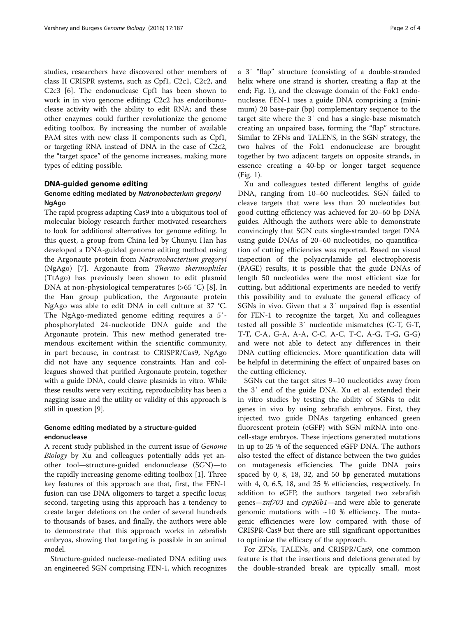studies, researchers have discovered other members of class II CRISPR systems, such as Cpf1, C2c1, C2c2, and C2c3 [[6\]](#page-3-0). The endonuclease Cpf1 has been shown to work in in vivo genome editing; C2c2 has endoribonuclease activity with the ability to edit RNA; and these other enzymes could further revolutionize the genome editing toolbox. By increasing the number of available PAM sites with new class II components such as Cpf1, or targeting RNA instead of DNA in the case of C2c2, the "target space" of the genome increases, making more types of editing possible.

## DNA-guided genome editing

# Genome editing mediated by Natronobacterium gregoryi NgAgo

The rapid progress adapting Cas9 into a ubiquitous tool of molecular biology research further motivated researchers to look for additional alternatives for genome editing. In this quest, a group from China led by Chunyu Han has developed a DNA-guided genome editing method using the Argonaute protein from Natronobacterium gregoryi (NgAgo) [[7\]](#page-3-0). Argonaute from Thermo thermophiles (TtAgo) has previously been shown to edit plasmid DNA at non-physiological temperatures (>65 °C) [\[8](#page-3-0)]. In the Han group publication, the Argonaute protein NgAgo was able to edit DNA in cell culture at 37 °C. The NgAgo-mediated genome editing requires a 5′ phosphorylated 24-nucleotide DNA guide and the Argonaute protein. This new method generated tremendous excitement within the scientific community, in part because, in contrast to CRISPR/Cas9, NgAgo did not have any sequence constraints. Han and colleagues showed that purified Argonaute protein, together with a guide DNA, could cleave plasmids in vitro. While these results were very exciting, reproducibility has been a nagging issue and the utility or validity of this approach is still in question [\[9\]](#page-3-0).

# Genome editing mediated by a structure-guided endonuclease

A recent study published in the current issue of Genome Biology by Xu and colleagues potentially adds yet another tool—structure-guided endonuclease (SGN)—to the rapidly increasing genome-editing toolbox [[1\]](#page-3-0). Three key features of this approach are that, first, the FEN-1 fusion can use DNA oligomers to target a specific locus; second, targeting using this approach has a tendency to create larger deletions on the order of several hundreds to thousands of bases, and finally, the authors were able to demonstrate that this approach works in zebrafish embryos, showing that targeting is possible in an animal model.

Structure-guided nuclease-mediated DNA editing uses an engineered SGN comprising FEN-1, which recognizes a 3′ "flap" structure (consisting of a double-stranded helix where one strand is shorter, creating a flap at the end; Fig. [1](#page-2-0)), and the cleavage domain of the Fok1 endonuclease. FEN-1 uses a guide DNA comprising a (minimum) 20 base-pair (bp) complementary sequence to the target site where the 3′ end has a single-base mismatch creating an unpaired base, forming the "flap" structure. Similar to ZFNs and TALENS, in the SGN strategy, the two halves of the Fok1 endonuclease are brought together by two adjacent targets on opposite strands, in essence creating a 40-bp or longer target sequence (Fig. [1](#page-2-0)).

Xu and colleagues tested different lengths of guide DNA, ranging from 10–60 nucleotides. SGN failed to cleave targets that were less than 20 nucleotides but good cutting efficiency was achieved for 20–60 bp DNA guides. Although the authors were able to demonstrate convincingly that SGN cuts single-stranded target DNA using guide DNAs of 20–60 nucleotides, no quantification of cutting efficiencies was reported. Based on visual inspection of the polyacrylamide gel electrophoresis (PAGE) results, it is possible that the guide DNAs of length 50 nucleotides were the most efficient size for cutting, but additional experiments are needed to verify this possibility and to evaluate the general efficacy of SGNs in vivo. Given that a 3′ unpaired flap is essential for FEN-1 to recognize the target, Xu and colleagues tested all possible 3′ nucleotide mismatches (C-T, G-T, T-T, C-A, G-A, A-A, C-C, A-C, T-C, A-G, T-G, G-G) and were not able to detect any differences in their DNA cutting efficiencies. More quantification data will be helpful in determining the effect of unpaired bases on the cutting efficiency.

SGNs cut the target sites 9–10 nucleotides away from the 3′ end of the guide DNA. Xu et al. extended their in vitro studies by testing the ability of SGNs to edit genes in vivo by using zebrafish embryos. First, they injected two guide DNAs targeting enhanced green fluorescent protein (eGFP) with SGN mRNA into onecell-stage embryos. These injections generated mutations in up to 25 % of the sequenced eGFP DNA. The authors also tested the effect of distance between the two guides on mutagenesis efficiencies. The guide DNA pairs spaced by 0, 8, 18, 32, and 50 bp generated mutations with 4, 0, 6.5, 18, and 25 % efficiencies, respectively. In addition to eGFP, the authors targeted two zebrafish genes—znf703 and cyp26b1—and were able to generate genomic mutations with  $~10$  % efficiency. The mutagenic efficiencies were low compared with those of CRISPR-Cas9 but there are still significant opportunities to optimize the efficacy of the approach.

For ZFNs, TALENs, and CRISPR/Cas9, one common feature is that the insertions and deletions generated by the double-stranded break are typically small, most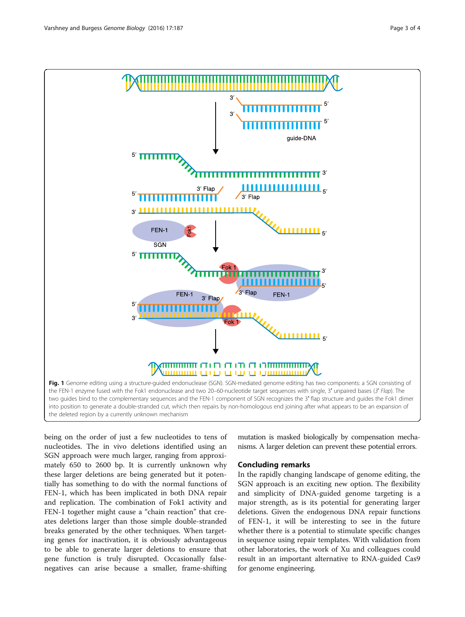<span id="page-2-0"></span>

being on the order of just a few nucleotides to tens of nucleotides. The in vivo deletions identified using an SGN approach were much larger, ranging from approximately 650 to 2600 bp. It is currently unknown why these larger deletions are being generated but it potentially has something to do with the normal functions of FEN-1, which has been implicated in both DNA repair and replication. The combination of Fok1 activity and FEN-1 together might cause a "chain reaction" that creates deletions larger than those simple double-stranded breaks generated by the other techniques. When targeting genes for inactivation, it is obviously advantageous to be able to generate larger deletions to ensure that gene function is truly disrupted. Occasionally falsenegatives can arise because a smaller, frame-shifting

mutation is masked biologically by compensation mechanisms. A larger deletion can prevent these potential errors.

### Concluding remarks

In the rapidly changing landscape of genome editing, the SGN approach is an exciting new option. The flexibility and simplicity of DNA-guided genome targeting is a major strength, as is its potential for generating larger deletions. Given the endogenous DNA repair functions of FEN-1, it will be interesting to see in the future whether there is a potential to stimulate specific changes in sequence using repair templates. With validation from other laboratories, the work of Xu and colleagues could result in an important alternative to RNA-guided Cas9 for genome engineering.